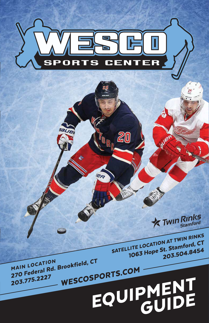## 1063 HOPE STREET, STAMFORD EQUIPMENT **GUIDE** WESCOSPORTS.COM

20

MAIN LOCATION<br>270 Federal Rd. Brookfield, CT<br>270 Federal Rd. Brookfield, CT 203.775.2227

BaLle

Ò

**IBR** 

SATELLITE LOCATION AT TWIN RINKS 1063 Hope St. Stamford, CT 203.504.8454

**X Twin Rinks** 

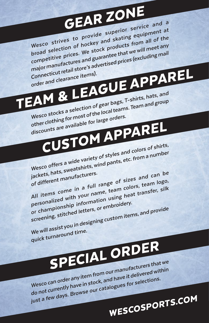# GEAR ZONE

**Wesco strives to provide superior service and a broad selection of hockey and skating equipment at competitive prices. We stock products from all of the major manufactures and guarantee that we will meet any Connecticut retail store's advertised prices (excluding mail** 

connecticut retail store's auto-<br>
order and clearance items).<br>
TEAM & LEAGUE APPAREL<br>
TEAM & LEAGUE APPAREL<br>
TEAM & LEAGUE APPAREL **Wesco stocks a selection of gear bags, T-shirts, hats, and** 

**other clothing for most of the local teams. Team and group discounts are available for large orders.**

**Wesco offers a wide variety of styles and colors of shirts, jackets, hats, sweatshirts, wind pants, etc. from a number**  CUSTOM APPAREL

iackets, hats, sweats.<br>
of different manufacturers.<br>
All items come in a full range of sizes and can be<sub>o,</sub><br>
All items come in a full range, team colors, team logo,<br>
All items come in your name, team colors, team logo, **personalized with your name, team colors, team logo, or championship information using heat transfer, silk screening, stitched letters, or embroidery. We will assist you in designing custom items, and provide** 

**quick turnaround time.**

SPECIAL ORDER

**Wesco can order any item from our manufacturers that we do not currently have in stock, and have it delivered within just a few days. Browse our catalogues for selections.** WESCOSPORTS.COM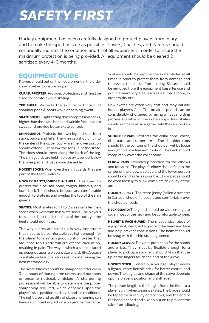## SAFETY FIRST

Hockey equipment has been carefully designed to protect players from injury and to make the sport as safe as possible. Players, Coaches, and Parents should continually monitor the condition and fit of all equipment in order to insure the maximum protection is being provided. All equipment should be cleaned & sanitized every 4-6 months.

#### EQUIPMENT GUIDE

Players should put on their equipment in the order shown below to insure proper fit.

CUP/SUPPORTER: Provides protection, and must be sized for comfort while skating.

TEE SHIRT: Protects the skin from friction of shoulder pads & pants while absorbing sweat.

**SKATE SOCKS:** Tight fitting thin compression socks, higher than the skate boot and wrinkle free, absorb sweat and provide better skate control.

**SHIN GUARDS:** Protects the lower leg and knee from sticks, pucks, and falls. The knee cap should fit into the center of the upper cup, while the lower portion should extend just below the tongue of the skate. The sides should meet along the back of the leg. The shin guards are held in place by tape just below the knee pad and just above the ankle.

HOCKEY SOCKS: Worn over the shin guards, they are part of the team uniform.

HOCKEY PANTS/GIRDLE & SHELL: Designed to protect the hips, tail bone, thighs, kidneys, and lower back. The fit should be loose and comfortable enough to skate in, and overlap the top of the shin guards.

SKATES: Most skates run 1 to 2 sizes smaller than shoes when worn with thin skate socks. The player's toes should just touch the front of the skate, yet the heel should not lift up.

The way skates are laced up is very important: they need to be comfortable yet tight enough for the player to maintain good control. Skates that are laced too tightly will cut off the circulation, resulting in pain. The way in which a skate is laced up depends upon a player's size and ability. A coach or a skate professional can assist in determining the best methodology.

The skate blades should be sharpened after every 3 – 4 hours of skating time unless used outdoors or become noticeably nicked. A sharpening professional will be able to determine the proper sharpening required, which depends upon the player's size, position, skill level, and ice conditions. The right type and quality of skate sharpening can have a significant impact on a player's performance. Soakers should be kept on the skate blades at all times in order to protect them from damage and to prevent the blades from rusting. Skates should be removed from the equipment bag after use and put in a warm, dry area, such as a furnace room, in order to dry out.

New skates are often very stiff and may initially hurt a player's feet. The break in period can be considerably shortened by using a heat molding process available in fine skate shops. New skates should not be worn in a game until they are broken in.

**SHOULDER PADS:** Protects the collar bone, chest, ribs, back, and upper arms. The shoulder cups should fit the contour of the shoulder, yet be loose enough to allow free arm motion. The neck should completely cover the collar bone.

**ELBOW PADS:** Provides protection for the elbows and forearms. The player's elbow should fit into the center of the elbow pad cup and the lower portion should extend as far as possible. Elbow pads should be worn loosely to allow complete flexibility of the arms.

HOCKEY JERSEY: The team jersey (called a sweater in Canada) should fit loosely and comfortably over the shoulder pads.

NECK GUARD: The guard should be wide enough to cover most of the neck and be comfortable to wear.

HELMET & FACE GUARD: The most critical piece of equipment, designed to protect the head and face and help prevent concussions. The helmet should be snug with the chin strap tightened.

HOCKEY GLOVES: Provides protection for the hands and wrists. They must be flexible enough for a player to pick up a stick, and should fit so that the tip of the fingers touch the end of the glove.

HOCKEY STICK: Generally, a younger player needs a lighter, more flexible stick for better control and power. The degree and shape of the curve depends upon a player's position and skill level.

The proper length is the height from the floor to a player's chin when wearing skates. The blade should be taped for durability and control, and the end of the handle taped and a knob put on to prevent the stick from slipping.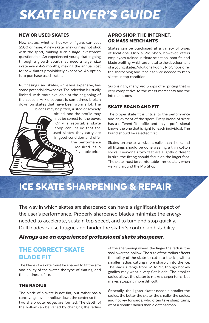## SKATE BUYER'S GUIDE

#### NEW OR USED SKATES

New skates, whether hockey or figure, can cost \$500 or more. A new skater may or may not stick with the sport, making such a large investment questionable. An experienced young skater going through a growth spurt may need a larger size skate every 4-5 months, making the annual cost for new skates prohibitively expensive. An option is to purchase used skates.

Purchasing used skates, while less expensive, has some potential drawbacks. The selection is usually limited, with more available at the beginning of the season. Ankle support is sometimes broken down on skates that have been worn a lot. The

blades may be pitted, rusted or severely nicked, and the profile may not be correct for the buyer. Only a reputable skate shop can insure that the used skates they carry are in good condition and offer the performance **BOOD** required at a favorable price.

#### A PRO SHOP, THE INTERNET, OR MASS MERCHANTS

Skates can be purchased at a variety of types of locations. Only a Pro Shop, however, offers employees trained in skate selection, boot fit, and blade profiling, which are critical to the development of a young skater. Additionally, only Pro Shops offer the sharpening and repair service needed to keep skates in top condition.

Surprisingly, many Pro Shops offer pricing that is very competitive to the mass merchants and the internet stores.

#### SKATE BRAND AND FIT

The proper skate fit is critical to the performance and enjoyment of the sport. Every brand of skate has a different fit profile, and only a professional knows the one that is right for each individual. The brand should be selected first.

Skates run one to two sizes smaller than shoes, and all fittings should be done wearing a thin cotton socks. Everyone's two feet are slightly different in size: the fitting should focus on the larger foot. The skate must be comfortable immediately when walking around the Pro Shop.

ICE SKATE SHARPENING & REPAIR

The way in which skates are sharpened can have a significant impact of the user's performance. Properly sharpened blades minimize the energy needed to accelerate, sustain top speed, and to turn and stop quickly. Dull blades cause fatigue and hinder the skater's control and stability.

#### Always use an experienced professional skate sharpener.

#### THE CORRECT SKATE BLADE FIT

The blade of a skate must be shaped to fit the size and ability of the skater, the type of skating, and the hardness of ice.

#### THE RADIUS

The blade of a skate is not flat, but rather has a concave groove or hollow down the center so that two sharp outer edges are formed. The depth of the hollow can be varied by changing the radius

of the sharpening wheel: the larger the radius, the shallower the hollow. The size of the radius affects the ability of the skate to cut into the ice, with a smaller radius cutting more sharply into the ice. The Radius range from  $\frac{1}{4}$ " to  $\frac{3}{4}$ ", though hockey goalies may want a very flat blade. The smaller radius allows the skater to make sharper turns, but makes stopping more difficult.

Generally, the lighter skater needs a smaller the radius, the better the skater the smaller the radius, and hockey forwards, who often take sharp turns, want a smaller radius than a defenseman.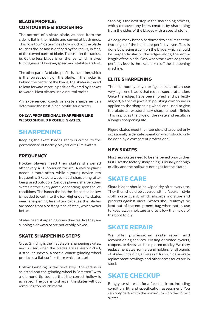#### BLADE PROFILE: CONTOURING & ROCKERING

The bottom of a skate blade, as seen from the side, is flat in the middle and curved at both ends. This "contour" determines how much of the blade touches the ice and is defined by the radius, in feet, of the curved parts of blade. The smaller the radius, ie. 6', the less blade is on the ice, which makes turning easier. However, speed and stability are lost.

The other part of a blades profile is the rocker, which is the lowest point on the blade. If the rocker is behind the center of the blade, the skater is forced to lean forward more, a position favored by hockey forwards. Most skates use a neutral rocker.

An experienced coach or skate sharpener can determine the best blade profile for a skater.

#### ONLY A PROFESSIONAL SHARPENER LIKE WESCO SHOULD PROFILE SKATES.

#### SHARPENING

Keeping the skate blades sharp is critical to the performance of hockey players or figure skaters.

#### **FREQUENCY**

Hockey players need their skates sharpened after every 4– 6 hours on the ice. A varsity player needs it more often, while a young novice less frequently. Skates always need sharpening after being used outdoors. Serious players sharpen their skates before every game, depending upon the ice conditions. The harder the ice, the deeper the hollow is needed to cut into the ice. Higher quality skates need sharpening less often because the blades are made from a better grade of steel, which wears better.

Skates need sharpening when they feel like they are slipping sideways or are noticeably nicked.

#### SKATE SHARPENING STEPS

Cross Grinding is the first step in sharpening skates, and is used when the blades are severely nicked, rusted, or uneven. A special coarse grinding wheel produces a flat surface from which to start.

Hollow Grinding is the next step. The radius is selected and the grinding wheel is "dressed" with a diamond tip tool so that the correct hollow is achieved. The goal is to sharpen the skates without removing too much metal.

Stoning is the next step in the sharpening process, which removes any burrs created by sharpening from the sides of the blades with a special stone.

An edge check is then performed to ensure that the two edges of the blade are perfectly even. This is done by placing a coin on the blade, which should be perpendicular to the edges along the entire length of the blade. Only when the skate edges are perfectly level is the skate taken off the sharpening machine.

#### ELITE SHARPENING

The elite hockey player or figure skater often use very high-end blades that require special attention. Once the edges have been honed and perfectly aligned, a special jewelers' polishing compound is applied to the sharpening wheel and used to give the blade an extraordinary sharp, smooth finish. This improves the glide of the skate and results in a longer sharpening life.

Figure skates need their toe picks sharpened only occasionally, a delicate operation which should only be done by a competent professional.

#### NEW SKATES

Most new skates need to be sharpened prior to their first use: the factory sharpening is usually not high quality and the hollow is not right for the skater.

### SKATE CARE

Skate blades should be wiped dry after every use. They then should be covered with a "soaker" style cloth skate guard, which absorbs moisture and protects against nicks. Skates should always be kept out of the equipment bag when not in use to keep away moisture and to allow the inside of the boot to dry.

#### SKATE REPAIR

We offer professional skate repair and reconditioning services. Missing or rusted eyelets, coppers, or rivets can be replaced quickly. We carry replacement steel runners and holders for all brands of skates, including all sizes of Tuuks. Goalie skate replacement cowlings and other accessories are in stock.

### SKATE CHECKUP

Bring your skates in for a free check-up, including condition, fit, and specification assessment. You can only perform to the maximum with the correct skates.